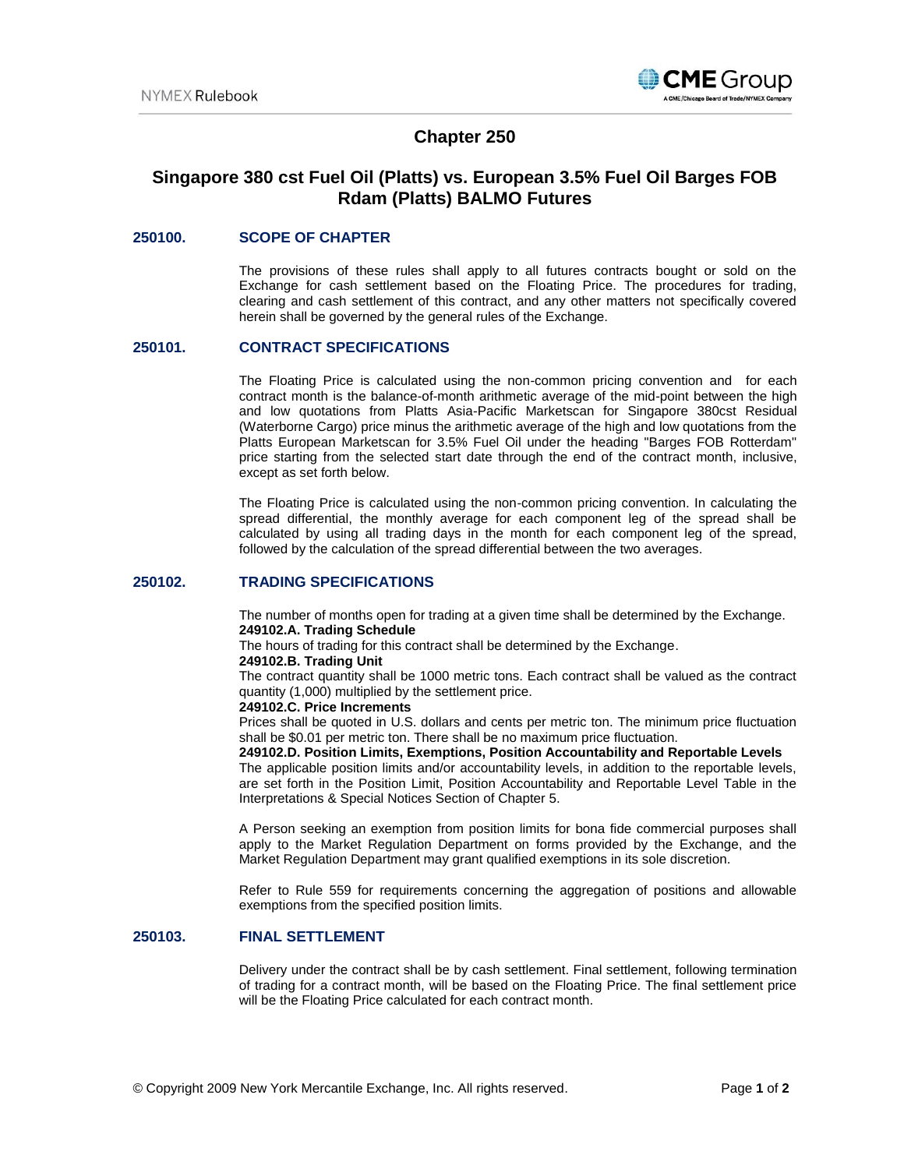

# **Chapter 250**

# **Singapore 380 cst Fuel Oil (Platts) vs. European 3.5% Fuel Oil Barges FOB Rdam (Platts) BALMO Futures**

## **250100. SCOPE OF CHAPTER**

The provisions of these rules shall apply to all futures contracts bought or sold on the Exchange for cash settlement based on the Floating Price. The procedures for trading, clearing and cash settlement of this contract, and any other matters not specifically covered herein shall be governed by the general rules of the Exchange.

## **250101. CONTRACT SPECIFICATIONS**

The Floating Price is calculated using the non-common pricing convention and for each contract month is the balance-of-month arithmetic average of the mid-point between the high and low quotations from Platts Asia-Pacific Marketscan for Singapore 380cst Residual (Waterborne Cargo) price minus the arithmetic average of the high and low quotations from the Platts European Marketscan for 3.5% Fuel Oil under the heading "Barges FOB Rotterdam" price starting from the selected start date through the end of the contract month, inclusive, except as set forth below.

The Floating Price is calculated using the non-common pricing convention. In calculating the spread differential, the monthly average for each component leg of the spread shall be calculated by using all trading days in the month for each component leg of the spread, followed by the calculation of the spread differential between the two averages.

## **250102. TRADING SPECIFICATIONS**

The number of months open for trading at a given time shall be determined by the Exchange. **249102.A. Trading Schedule**

The hours of trading for this contract shall be determined by the Exchange.

#### **249102.B. Trading Unit**

The contract quantity shall be 1000 metric tons. Each contract shall be valued as the contract quantity (1,000) multiplied by the settlement price.

### **249102.C. Price Increments**

Prices shall be quoted in U.S. dollars and cents per metric ton. The minimum price fluctuation shall be \$0.01 per metric ton. There shall be no maximum price fluctuation.

## **249102.D. Position Limits, Exemptions, Position Accountability and Reportable Levels**

The applicable position limits and/or accountability levels, in addition to the reportable levels, are set forth in the Position Limit, Position Accountability and Reportable Level Table in the Interpretations & Special Notices Section of Chapter 5.

A Person seeking an exemption from position limits for bona fide commercial purposes shall apply to the Market Regulation Department on forms provided by the Exchange, and the Market Regulation Department may grant qualified exemptions in its sole discretion.

Refer to Rule 559 for requirements concerning the aggregation of positions and allowable exemptions from the specified position limits.

# **250103. FINAL SETTLEMENT**

Delivery under the contract shall be by cash settlement. Final settlement, following termination of trading for a contract month, will be based on the Floating Price. The final settlement price will be the Floating Price calculated for each contract month.